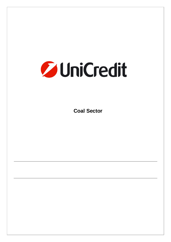# **Zy UniCredit**

**Coal Sector**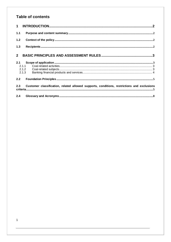# Table of contents

| $1 \quad$   |                                                                                            |  |
|-------------|--------------------------------------------------------------------------------------------|--|
| 1.1         |                                                                                            |  |
| $1.2$       |                                                                                            |  |
| 1.3         |                                                                                            |  |
| $2^{\circ}$ |                                                                                            |  |
| 2.1         |                                                                                            |  |
|             | 2.1.1                                                                                      |  |
|             |                                                                                            |  |
|             |                                                                                            |  |
| 2.2         |                                                                                            |  |
| 2.3         | Customer classification, related allowed supports, conditions, restrictions and exclusions |  |
| 2.4         |                                                                                            |  |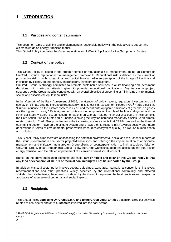## **1 INTRODUCTION**

## **1.1 Purpose and content summary**

This document aims at defining and implementing a responsible policy with the objectives to support the clients towards an energy transition model.

This Global Policy integrates the Group regulation for UniCredit S.p.A and for the Group Legal Entities.

## **1.2 Context of the policy**

This Global Policy is issued in the broader context of reputational risk management, being an element of UniCredit Group's reputational risk management framework. Reputational risk is defined as the current or prospective risk brought to earnings and capital from an adverse perception of the image of the financial institution by clients, counterparties, shareholders, investors or regulators.

UniCredit Group is strongly committed to promote sustainable solutions in all its financing and investment decisions, with particular attention given to potential reputational implications. Any transaction/project supported by the Group must be conducted with an overall objective of preventing or minimizing environmental, social, and associated reputational risks.

In the aftermath of the Paris Agreement of 2015, the attention of policy makers, regulators, investors and civil society on climate change increased dramatically. In its latest 5th Assessment Report IPCC<sup>1</sup> made clear that "Human influence on the climate system is clear, and recent anthropogenic emissions of greenhouse gases are the highest in history." Paris Agreement puts a strong emphasis on the role of the financial system and the Financial Stability Board issued Recommendations on Climate Related Financial Disclosure; in this context, the EU's Action Plan on Sustainable Finance is paving the way for increased mandatory disclosure on climate related risks. UniCredit Group understands the increasing adverse effects that CFPPs - as well as the thermal coal mining sector - have on the climate system and is aware of its responsibility towards society and future generations in terms of environmental preservation (resources/ecosystem quality), as well as human health and pollution.

This Global Policy aims therefore at assessing the potential environmental, social and reputational impacts of the Group involvement in coal sector projects/transactions and - through the implementation of appropriate management and mitigation measures on Group clients or counterparts' side - to limit associated risks for UniCredit Group. In fact, through this Global Policy, the Group wants to support and accelerate the coal sector energy transition and the related improvement of its environmental/social footprint.

Based on the above-mentioned elements and facts, **key principle and pillar of this Global Policy is that any kind of expansion of CFPPs or thermal coal mining will not be supported by the Group**.

In addition, this coal sector policy invokes several guidelines, standards, international conventions, initiatives, recommendations and other practices widely accepted by the international community and affected stakeholders. Collectively, these are considered by the Group to represent the best practices with respect to avoidance of adverse environmental and social impacts.

## **1.3 Recipients**

This Global Policy **applies to UniCredit S.p.A. and to the Group Legal Entities** that might carry out activities related to coal sector and/or to **customers** involved into the coal sector.

<sup>1</sup> The IPCC (Intergovernmental Panel on Climate Change) is the United Nations body for assessing the science related to climate change.

<sup>2</sup>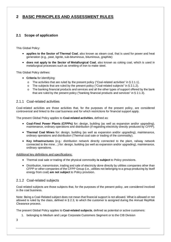# **2 BASIC PRINCIPLES AND ASSESSMENT RULES**

## **2.1 Scope of application**

This Global Policy:

- **applies to the Sector of Thermal Coal**, also known as steam coal, that is used for power and heat generation (e.g., peat, lignite, sub-bituminous, bituminous, graphite)
- **does not apply to the Sector of Metallurgical Coal**, also known as coking coal, which is used in metallurgical processes such as smelting of iron to make steel.

This Global Policy defines:

- **Criteria** for identifying:
	- $\circ$  The activities that are ruled by the present policy ("Coal-related activities" in § 2.1.1).
	- o The subjects that are ruled by the present policy ("Coal-related subjects" in § 2.1.2).
	- o The banking financial products and services and all the other types of support offered by the bank that are ruled by the present policy ("banking financial products and services" in § 2.1.3).

## 2.1.1 Coal-related activities

Coal-related activities are those activities that, for the purposes of the present policy, are considered controversial and linked to the coal business and for which restrictions for financial support apply.

The present Global Policy applies to **Coal-related activities**, defined as:

- **Coal-Fired Power Plants (CFPPs)** for**:** design, building (as well as expansion and/or upgrading), maintenance, ordinary operations and distribution (if regarding electricity directly produced by CFPP).
- **Thermal Coal Mines** for: design, building (as well as expansion and/or upgrading), maintenance, ordinary operations and distribution (Thermal coal sale or trading of the commodity).
- **Key Infrastructures** (e.g.: distribution network directly connected to the plant, railway network connected to the mine…) for: design, building (as well as expansion and/or upgrading), maintenance, ordinary operations.

Additional key definitions and specifications:

- Thermal coal sale or trading of the physical commodity **is subject** to Policy provisions.
- Distribution, transmission, trading and sale of electricity done directly by utilities companies other than CFPP or other companies of the CFPP Group (i.e., utilities not belonging to a group producing by itself energy from coal) **are not subject** to Policy provision.

### 2.1.2 Coal-related subjects

Coal-related subjects are those subjects that, for the purposes of the present policy, are considered involved in the coal business.

Note: Being a Coal-Related subject does not mean that financial support is not allowed. What is allowed or not allowed is ruled by the class, defined in § 2.3, to which the customer is assigned during the Annual RepRisk Clearance process.

The present Global Policy applies to **Coal-related subjects**, defined as potential or active customers:

- 1. belonging to Medium and Large Corporate Customers Segment or to the CIB Division
- 3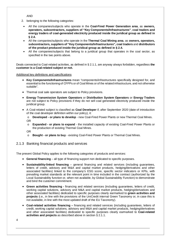AND

- 2. belonging to the following categories:
- All the companies/subjects who operate in the **Coal-Fired Power Generation area**, as **owners, operators, subcontractors, suppliers of "Key Components/Infrastructures"**, **coal traders and energy traders of coal-generated electricity produced inside the juridical group as defined in § 2.4.**
- All the companies/subjects who operate in the **Thermal Coal Mining area**, as **owners, operators, subcontractors, suppliers of "Key Components/Infrastructures", coal traders** and **distributors of the product produced inside the juridical group as defined in § 2.4.**
- All the companies/subjects that belong to a juridical group that operates in the coal sector, as specified in the two points above.

Deals connected to Coal-related activities, as defined in § 2.1.1, are anyway always forbidden, regardless **the customer is a Coal-related subject or not.**

Additional key definitions and specifications

- **Key Components/Infrastructures** mean "components/infrastructures specifically designed for, and essential to the functioning of CFPPs or of Coal Mines or of the related infrastructure, and not otherwise suitable".
- Thermal coal sale operators are subject to Policy provisions.
- **Energy Transmission System Operators** or **Distribution System Operators** or **Energy Traders** are not subject to Policy provisions if they do not sell coal generated electricity produced inside the juridical group.
- A Coal-related subject is classified as **Coal Developer** if, after September 2020 (date of introduction of the coal developer definition within our policy), it:

o **Developed - or plans to develop** - new Coal-Fired Power Plants or new Thermal Coal Mines. OR

o **Expanded - or plans to expand** - the installed capacity of existing Coal-Fired Power Plants or the production of existing Thermal Coal Mines.

OR

- o **Bought or plans to buy** existing Coal-Fired Power Plants or Thermal Coal Mines.
- 2.1.3 Banking financial products and services

The present Global Policy applies to the following categories of products and services:

- **General financing** all type of financing support non dedicated to specific purposes.
- **Sustainability-linked financing** general financing and related services (including guarantees, letters of credit, advisory and M&A and capital market products, hedging/derivatives and other associated facilities) linked to the company's ESG score, specific sector indicators or KPIs, with prevailing market standards at the relevant point in time included in the contract (authorized by the Local Sustainability function or, when not available, by Global Sustainability Function) to demonstrate and bind the customer commitment.
- **Green activities financing** financing and related services (including guarantees, letters of credit, working capital solutions, advisory and M&A and capital market products, hedging/derivatives and other associated facilities) dedicated to specific purposes clearly earmarked to **green activities and projects** (i.e., in line with the provisions of the UniCredit internal Green Taxonomy or, in case this is not available, in line with the most updated draft of the EU Taxonomy).
- **Coal-related activities financing** financing and related services (including guarantees, letters of credit, working capital solutions, advisory and M&A and capital market products, hedging/derivatives and other associated facilities) dedicated to specific purposes clearly earmarked to **Coal-related activities and projects** as described above in section § 2.1.1.

4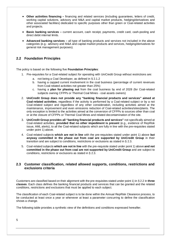- **Other activities financing** financing and related services (including guarantees, letters of credit, working capital solutions, advisory and M&A and capital market products, hedging/derivatives and other associated facilities) dedicated to specific purposes other than green or Coal-related activities and projects.
- **Basic banking services –** current account, cash receipt, payments, credit card, cash-pooling and direct debit internal limits.
- **Advanced banking services –** all type of banking products and services not included in the above categories (e.g.: advisory and M&A and capital market products and services, hedging/derivatives for general risk management purposes).

## **2.2 Foundation Principles**

The policy is based on the following five **Foundation Principles**:

- 1. Pre-requisites for a Coal-related subject for operating with UniCredit Group without restrictions are:
	- a. not being a Coal Developer, as defined in § 2.1.2
	- b. having a capped current involvement in the coal business (percentage of current revenues from Coal-related activities not greater than 25%)
	- c. having a **plan for phasing out** from the coal business by end of 2028 (for Coal-related subjects owning CFPPs or Thermal Coal Mines - coal assets owners)
- 2. **UniCredit Group does not provide any "banking financial products and services" aimed at Coal-related activities**, regardless if the activity is performed by a Coal-related subject or by a not Coal-related subject and regardless of any other consideration, including activities aimed at the maintenance, improvement and even emissions reduction of Coal-related activities/sites/plants. The only exception is limited to the activities aimed at the conversion of CFPPs to sources other than coal or at the closure of CFPPs or Thermal Coal Mines and related decontamination of the site.
- 3. **UniCredit Group provides all "banking financial products and services"** not specifically aimed at Coal-related activities, **provided that no other impediment is present** (e.g., evidence of RepRisk issue, AML alerts), to all the Coal-related subjects which are fully in line with the pre-requisites stated under point 1) above.
- 4. Coal-related subjects **which are not in line** with the pre-requisites stated under point 1) above **but anyway committed in the phase out from coal are supported by UniCredit Group** in their transition and are subject to conditions, restrictions or exclusions as stated in § 2.3.
- 5. Coal-related subjects **which are not in line** with the pre-requisite stated under point 1) above **and not committed in the phase out from coal are not supported by UniCredit Group** and are subject to conditions, restrictions or exclusions as stated in § 2.3.

## **2.3 Customer classification, related allowed supports, conditions, restrictions and exclusions criteria**

Customers are classified based on their alignment with the pre-requisites stated under point 1) in § 2.2 in **three classes**. Each class defines the banking financial products and services that can be granted and the related conditions, restrictions and exclusions that must be applied to each subject.

The classification of each Coal-related subject is to be done within the Annual RepRisk Clearance process, to be conducted at least once a year or whenever at least a parameter concurring to define the classification shows a change.

The following table provides a synthetic view of the definitions and conditions expressed hereafter.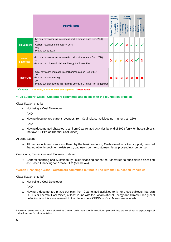|                                  |                                                                                                                                                                                                   |                         | General<br><b>Financing</b>     |                           | <b>Project</b><br><b>Financing</b> |                     |                         | <b>Other</b>        |  |  |
|----------------------------------|---------------------------------------------------------------------------------------------------------------------------------------------------------------------------------------------------|-------------------------|---------------------------------|---------------------------|------------------------------------|---------------------|-------------------------|---------------------|--|--|
|                                  | <b>Provisions</b>                                                                                                                                                                                 | General Financing       | Sustainabilit<br>⊺RCI<br>Linked | Financing<br>reen Activ   | Coal-Relate<br>Activities          | Activities<br>Other | Banking<br><b>Basic</b> | Advanced<br>Banking |  |  |
| <b>Full Support</b>              | - No coal developer (no increase in coal business since Sep. 2020)<br><b>AND</b><br>- Current revenues from coal <= 25%<br>AND<br>- Phase out by 2028                                             |                         |                                 |                           |                                    |                     |                         |                     |  |  |
| <b>Green</b><br><b>Financing</b> | - No coal developer (no increase in coal business since Sep. 2020)<br>AND<br>- Phase out in line with National Energy & Climate Plan                                                              | x                       |                                 |                           | x                                  |                     |                         |                     |  |  |
| <b>Phase Out</b>                 | - Coal developer (increase in coal business since Sep. 2020)<br><b>OR</b><br>- Phase out plan missing<br>O <sub>R</sub><br>- Phase out plan beyond the National Energy & Climate Plan target date | $\overline{\mathbf{x}}$ | $\vert x \vert$                 | $\boldsymbol{\mathsf{x}}$ | $\overline{\mathbf{x}}$            |                     |                         |                     |  |  |

 $\checkmark$  Allowed  $\checkmark$  Allowed, to be evaluated and approved  $\checkmark$  Not allowed

#### **"Full Support" Class - Customers committed and in line with the foundation principle**

#### Classification criteria

a. Not being a Coal Developer

AND

b. Having documented current revenues from Coal-related activities not higher than 25%

AND

c. Having documented phase out plan from Coal-related activities by end of 2028 (only for those subjects that own CFPPs or Thermal Coal Mines)

#### Allowed Support

 All the products and services offered by the bank, excluding Coal-related activities support, provided that no other impediment exists (e.g., bad news on the customers, legal proceedings on going).

#### Conditions, Restrictions and Exclusion criteria

 General financing and Sustainability-linked financing cannot be transferred to subsidiaries classified as "Green Financing" or "Phase Out" (see below).

#### **"Green Financing" Class - Customers committed but not in line with the Foundation Principles**

#### Classification criteria<sup>2</sup>

a. Not being a Coal Developer

AND

b. Having a documented phase out plan from Coal-related activities (only for those subjects that own CFPPs or Thermal Coal Mines) at least in line with the Local National Energy and Climate Plan (Local definition is in this case referred to the place where CFPPs or Coal Mines are located)

<sup>&</sup>lt;sup>2</sup> Selected exceptions could be considered by GNFRC under very specific conditions, provided they are not aimed at supporting coal developers or forbidden activities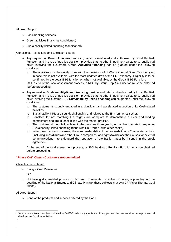#### Allowed Support

- Basic banking services
- Green activities financing (conditioned)
- Sustainability-linked financing (conditioned)

#### Conditions, Restrictions and Exclusion criteria

- Any request for **Green Activities financing** must be evaluated and authorized by Local RepRisk Function, and in case of positive decision, provided that no other impediment exists (e.g., public bad news involving the customer), **Green Activities financing** can be granted under the following condition:
	- o The activities must be strictly in line with the provisions of UniCredit internal Green Taxonomy or, in case this is not available, with the most updated draft of the EU Taxonomy. Eligibility is to be confirmed by the Local ESG function or, when not available, by the Global ESG Function.

At the end of the local assessment process, a NBO by Group RepRisk Function must be obtained before proceeding.

- Any request for **Sustainability-linked financing** must be evaluated and authorized by Local RepRisk Function, and in case of positive decision, provided that no other impediment exists (e.g., public bad news involving the customer, …), **Sustainability-linked financing** can be granted under the following conditions:
	- o The customer is strongly engaged in a significant and accelerated reduction of its Coal-related activities.
	- o Sustainability KPIs are sound, challenging and related to the Environmental sector.
	- o Penalties for not matching the targets are adequate to demonstrate a clear and binding commitment and are at least in line with the market practice.
	- $\circ$  The customer did not fail, at least in the previous three years, in matching targets in any other Sustainability-linked financing (done with UniCredit or with other banks).
	- o Initial clear clauses concerning the non-transferability of the proceeds to any Coal-related activity (including subsidiaries and other Group companies) and rights to disclose the clauses for external communications - to safeguard the reputation of the Bank - must be inserted in the credit agreement.

At the end of the local assessment process, a NBO by Group RepRisk Function must be obtained before proceeding.

#### **"Phase Out" Class - Customers not committed**

#### Classification criteria<sup>3</sup>:

a. Being a Coal Developer

OR

b. Not having documented phase out plan from Coal-related activities or having a plan beyond the deadline of the National Energy and Climate Plan (for those subjects that own CFPPs or Thermal Coal Mines).

#### Allowed Support

• None of the products and services offered by the Bank.

7

<sup>&</sup>lt;sup>3</sup> Selected exceptions could be considered by GNFRC under very specific conditions, provided they are not aimed at supporting coal developers or forbidden activities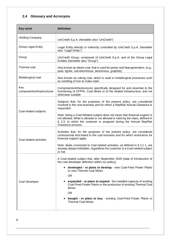# **2.4 Glossary and Acronyms**

| <b>Key word</b>                   | <b>Definition</b>                                                                                                                                                                                                                                                                                                               |
|-----------------------------------|---------------------------------------------------------------------------------------------------------------------------------------------------------------------------------------------------------------------------------------------------------------------------------------------------------------------------------|
| <b>Holding Company</b>            | UniCredit S.p.A. (hereafter also "UniCredit")                                                                                                                                                                                                                                                                                   |
| <b>Group Legal Entity</b>         | Legal Entity directly or indirectly controlled by UniCredit S.p.A. (hereafter<br>also "Legal Entity")                                                                                                                                                                                                                           |
| Group                             | UniCredit Group, composed of UniCredit S.p.A. and of the Group Legal<br>Entities (hereafter also "Group")                                                                                                                                                                                                                       |
| Thermal coal                      | Also known as steam coal, that is used for power and heat generation. (e.g.,<br>peat, lignite, sub-bituminous, bituminous, graphite)                                                                                                                                                                                            |
| Metallurgical coal                | Also known as coking coal, which is used in metallurgical processes such<br>as smelting of iron to make steel.                                                                                                                                                                                                                  |
| Key<br>components/infrastructures | Components/infrastructures specifically designed for and essential to the<br>functioning of CFPPs, Coal Mines or of the related infrastructure, and not<br>otherwise suitable                                                                                                                                                   |
| Coal-related subjects             | Subjects that, for the purposes of the present policy, are considered<br>involved in the coal business and for which a RepRisk Annual Clearance is<br>requested.<br>Note: being a Coal-Related subject does not mean that financial support is<br>not allowed. What is allowed or not allowed is ruled by the class, defined in |
|                                   | § 2.3, to which the customer is assigned during the Annual RepRisk<br>Clearance process.                                                                                                                                                                                                                                        |
| Coal-related activities           | Activities that, for the purposes of the present policy, are considered<br>controversial and linked to the coal business and for which restrictions for<br>financial support apply.                                                                                                                                             |
|                                   | Note: deals connected to Coal-related activities, as defined in $\S 2.1.1$ , are<br>anyway always forbidden, regardless the customer is a Coal-related subject<br>or not.                                                                                                                                                       |
|                                   | A Coal-related subject that, after September 2020 (date of introduction of<br>the coal developer definition within our policy):                                                                                                                                                                                                 |
|                                   | • developed - or plans to develop - new Coal-Fired Power Plants<br>or new Thermal Coal Mines                                                                                                                                                                                                                                    |
|                                   | <b>OR</b>                                                                                                                                                                                                                                                                                                                       |
| Coal Developer                    | expanded - or plans to expand - the installed capacity of existing<br>Coal-Fired Power Plants or the production of existing Thermal Coal<br><b>Mines</b>                                                                                                                                                                        |
|                                   | <b>OR</b>                                                                                                                                                                                                                                                                                                                       |
|                                   | bought - or plans to buy - existing Coal-Fired Power Plants or<br><b>Thermal Coal Mines</b>                                                                                                                                                                                                                                     |